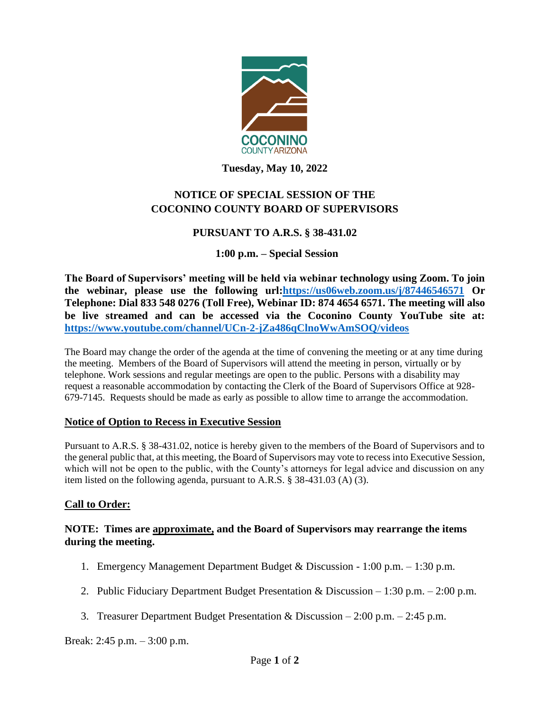

**Tuesday, May 10, 2022**

# **NOTICE OF SPECIAL SESSION OF THE COCONINO COUNTY BOARD OF SUPERVISORS**

# **PURSUANT TO A.R.S. § 38-431.02**

# **1:00 p.m. – Special Session**

**The Board of Supervisors' meeting will be held via webinar technology using Zoom. To join the webinar, please use the following url[:https://us06web.zoom.us/j/87446546571](https://us06web.zoom.us/j/87446546571) Or Telephone: Dial 833 548 0276 (Toll Free), Webinar ID: 874 4654 6571. The meeting will also be live streamed and can be accessed via the Coconino County YouTube site at: <https://www.youtube.com/channel/UCn-2-jZa486qClnoWwAmSOQ/videos>**

The Board may change the order of the agenda at the time of convening the meeting or at any time during the meeting. Members of the Board of Supervisors will attend the meeting in person, virtually or by telephone. Work sessions and regular meetings are open to the public. Persons with a disability may request a reasonable accommodation by contacting the Clerk of the Board of Supervisors Office at 928- 679-7145. Requests should be made as early as possible to allow time to arrange the accommodation.

### **Notice of Option to Recess in Executive Session**

Pursuant to A.R.S. § 38-431.02, notice is hereby given to the members of the Board of Supervisors and to the general public that, at this meeting, the Board of Supervisors may vote to recess into Executive Session, which will not be open to the public, with the County's attorneys for legal advice and discussion on any item listed on the following agenda, pursuant to A.R.S. § 38-431.03 (A) (3).

### **Call to Order:**

### **NOTE: Times are approximate, and the Board of Supervisors may rearrange the items during the meeting.**

- 1. Emergency Management Department Budget & Discussion 1:00 p.m. 1:30 p.m.
- 2. Public Fiduciary Department Budget Presentation & Discussion 1:30 p.m. 2:00 p.m.
- 3. Treasurer Department Budget Presentation & Discussion 2:00 p.m. 2:45 p.m.

Break: 2:45 p.m. – 3:00 p.m.